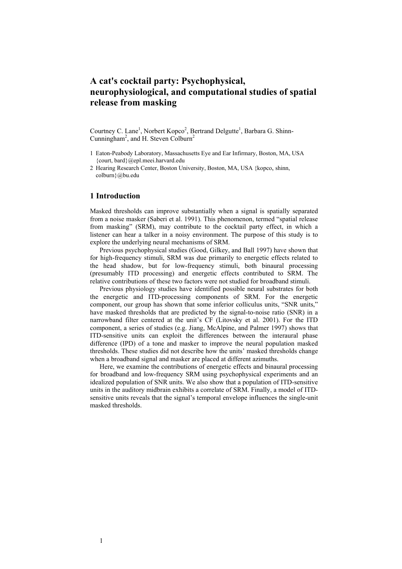# **A cat's cocktail party: Psychophysical, neurophysiological, and computational studies of spatial release from masking**

Courtney C. Lane<sup>1</sup>, Norbert Kopco<sup>2</sup>, Bertrand Delgutte<sup>1</sup>, Barbara G. Shinn-Cunningham<sup>2</sup>, and H. Steven Colburn<sup>2</sup>

- 1 Eaton-Peabody Laboratory, Massachusetts Eye and Ear Infirmary, Boston, MA, USA {court, bard}@epl.meei.harvard.edu
- 2 Hearing Research Center, Boston University, Boston, MA, USA {kopco, [shinn,](mailto:shinn, colburn}@bu.edu) [colburn}@bu.edu](mailto:shinn, colburn}@bu.edu)

## **1 Introduction**

Masked thresholds can improve substantially when a signal is spatially separated from a noise masker (Saberi et al. 1991). This phenomenon, termed "spatial release from masking" (SRM), may contribute to the cocktail party effect, in which a listener can hear a talker in a noisy environment. The purpose of this study is to explore the underlying neural mechanisms of SRM.

Previous psychophysical studies (Good, Gilkey, and Ball 1997) have shown that for high-frequency stimuli, SRM was due primarily to energetic effects related to the head shadow, but for low-frequency stimuli, both binaural processing (presumably ITD processing) and energetic effects contributed to SRM. The relative contributions of these two factors were not studied for broadband stimuli.

Previous physiology studies have identified possible neural substrates for both the energetic and ITD-processing components of SRM. For the energetic component, our group has shown that some inferior colliculus units, "SNR units," have masked thresholds that are predicted by the signal-to-noise ratio (SNR) in a narrowband filter centered at the unit's CF (Litovsky et al. 2001). For the ITD component, a series of studies (e.g. Jiang, McAlpine, and Palmer 1997) shows that ITD-sensitive units can exploit the differences between the interaural phase difference (IPD) of a tone and masker to improve the neural population masked thresholds. These studies did not describe how the units' masked thresholds change when a broadband signal and masker are placed at different azimuths.

Here, we examine the contributions of energetic effects and binaural processing for broadband and low-frequency SRM using psychophysical experiments and an idealized population of SNR units. We also show that a population of ITD-sensitive units in the auditory midbrain exhibits a correlate of SRM. Finally, a model of ITDsensitive units reveals that the signal's temporal envelope influences the single-unit masked thresholds.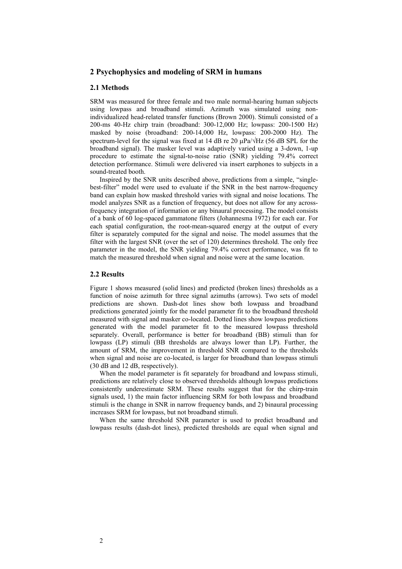## **2 Psychophysics and modeling of SRM in humans**

#### **2.1 Methods**

SRM was measured for three female and two male normal-hearing human subjects using lowpass and broadband stimuli. Azimuth was simulated using nonindividualized head-related transfer functions (Brown 2000). Stimuli consisted of a 200-ms 40-Hz chirp train (broadband: 300-12,000 Hz; lowpass: 200-1500 Hz) masked by noise (broadband: 200-14,000 Hz, lowpass: 200-2000 Hz). The spectrum-level for the signal was fixed at 14 dB re 20  $\mu$ Pa/ $\sqrt{Hz}$  (56 dB SPL for the broadband signal). The masker level was adaptively varied using a 3-down, 1-up procedure to estimate the signal-to-noise ratio (SNR) yielding 79.4% correct detection performance. Stimuli were delivered via insert earphones to subjects in a sound-treated booth.

Inspired by the SNR units described above, predictions from a simple, "singlebest-filter" model were used to evaluate if the SNR in the best narrow-frequency band can explain how masked threshold varies with signal and noise locations. The model analyzes SNR as a function of frequency, but does not allow for any acrossfrequency integration of information or any binaural processing. The model consists of a bank of 60 log-spaced gammatone filters (Johannesma 1972) for each ear. For each spatial configuration, the root-mean-squared energy at the output of every filter is separately computed for the signal and noise. The model assumes that the filter with the largest SNR (over the set of 120) determines threshold. The only free parameter in the model, the SNR yielding 79.4% correct performance, was fit to match the measured threshold when signal and noise were at the same location.

#### **2.2 Results**

Figure 1 shows measured (solid lines) and predicted (broken lines) thresholds as a function of noise azimuth for three signal azimuths (arrows). Two sets of model predictions are shown. Dash-dot lines show both lowpass and broadband predictions generated jointly for the model parameter fit to the broadband threshold measured with signal and masker co-located. Dotted lines show lowpass predictions generated with the model parameter fit to the measured lowpass threshold separately. Overall, performance is better for broadband (BB) stimuli than for lowpass (LP) stimuli (BB thresholds are always lower than LP). Further, the amount of SRM, the improvement in threshold SNR compared to the thresholds when signal and noise are co-located, is larger for broadband than lowpass stimuli (30 dB and 12 dB, respectively).

When the model parameter is fit separately for broadband and lowpass stimuli, predictions are relatively close to observed thresholds although lowpass predictions consistently underestimate SRM. These results suggest that for the chirp-train signals used, 1) the main factor influencing SRM for both lowpass and broadband stimuli is the change in SNR in narrow frequency bands, and 2) binaural processing increases SRM for lowpass, but not broadband stimuli.

When the same threshold SNR parameter is used to predict broadband and lowpass results (dash-dot lines), predicted thresholds are equal when signal and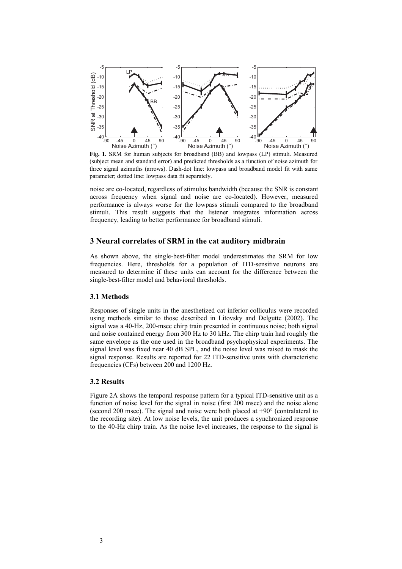

**Fig. 1.** SRM for human subjects for broadband (BB) and lowpass (LP) stimuli. Measured (subject mean and standard error) and predicted thresholds as a function of noise azimuth for three signal azimuths (arrows). Dash-dot line: lowpass and broadband model fit with same parameter; dotted line: lowpass data fit separately.

noise are co-located, regardless of stimulus bandwidth (because the SNR is constant across frequency when signal and noise are co-located). However, measured performance is always worse for the lowpass stimuli compared to the broadband stimuli. This result suggests that the listener integrates information across frequency, leading to better performance for broadband stimuli.

## **3 Neural correlates of SRM in the cat auditory midbrain**

As shown above, the single-best-filter model underestimates the SRM for low frequencies. Here, thresholds for a population of ITD-sensitive neurons are measured to determine if these units can account for the difference between the single-best-filter model and behavioral thresholds.

#### **3.1 Methods**

Responses of single units in the anesthetized cat inferior colliculus were recorded using methods similar to those described in Litovsky and Delgutte (2002). The signal was a 40-Hz, 200-msec chirp train presented in continuous noise; both signal and noise contained energy from 300 Hz to 30 kHz. The chirp train had roughly the same envelope as the one used in the broadband psychophysical experiments. The signal level was fixed near 40 dB SPL, and the noise level was raised to mask the signal response. Results are reported for 22 ITD-sensitive units with characteristic frequencies (CFs) between 200 and 1200 Hz.

### **3.2 Results**

Figure 2A shows the temporal response pattern for a typical ITD-sensitive unit as a function of noise level for the signal in noise (first 200 msec) and the noise alone (second 200 msec). The signal and noise were both placed at  $+90^{\circ}$  (contralateral to the recording site). At low noise levels, the unit produces a synchronized response to the 40-Hz chirp train. As the noise level increases, the response to the signal is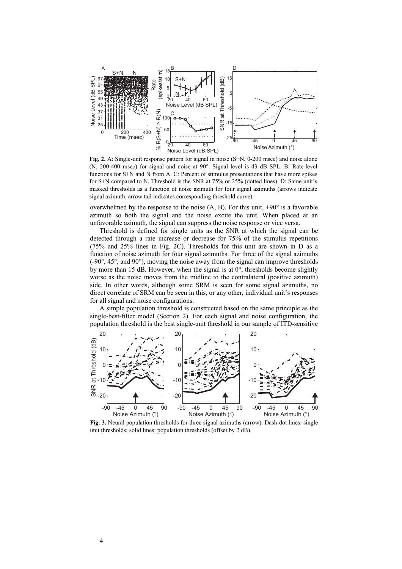

**Fig. 2.** A: Single-unit response pattern for signal in noise (S+N, 0-200 msec) and noise alone (N, 200-400 msec) for signal and noise at 90°. Signal level is 43 dB SPL. B: Rate-level functions for S+N and N from A. C: Percent of stimulus presentations that have more spikes for S+N compared to N. Threshold is the SNR at 75% or 25% (dotted lines). D: Same unit's masked thresholds as a function of noise azimuth for four signal azimuths (arrows indicate signal azimuth, arrow tail indicates corresponding threshold curve).

overwhelmed by the response to the noise  $(A, B)$ . For this unit,  $+90^\circ$  is a favorable azimuth so both the signal and the noise excite the unit. When placed at an unfavorable azimuth, the signal can suppress the noise response or vice versa.

Threshold is defined for single units as the SNR at which the signal can be detected through a rate increase or decrease for 75% of the stimulus repetitions (75% and 25% lines in Fig. 2C). Thresholds for this unit are shown in D as a function of noise azimuth for four signal azimuths. For three of the signal azimuths  $(-90^{\circ}, 45^{\circ})$ , and  $90^{\circ}$ ), moving the noise away from the signal can improve thresholds by more than 15 dB. However, when the signal is at  $0^\circ$ , thresholds become slightly worse as the noise moves from the midline to the contralateral (positive azimuth) side. In other words, although some SRM is seen for some signal azimuths, no direct correlate of SRM can be seen in this, or any other, individual unit's responses for all signal and noise configurations.

A simple population threshold is constructed based on the same principle as the single-best-filter model (Section 2). For each signal and noise configuration, the population threshold is the best single-unit threshold in our sample of ITD-sensitive



**Fig. 3.** Neural population thresholds for three signal azimuths (arrow). Dash-dot lines: single unit thresholds; solid lines: population thresholds (offset by 2 dB).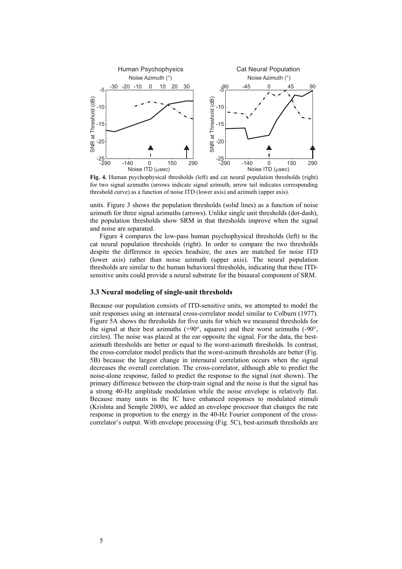

Fig. 4. Human psychophysical thresholds (left) and cat neural population thresholds (right) for two signal azimuths (arrows indicate signal azimuth, arrow tail indicates corresponding threshold curve) as a function of noise ITD (lower axis) and azimuth (upper axis).

units. Figure 3 shows the population thresholds (solid lines) as a function of noise azimuth for three signal azimuths (arrows). Unlike single unit thresholds (dot-dash), the population thresholds show SRM in that thresholds improve when the signal and noise are separated.

Figure 4 compares the low-pass human psychophysical thresholds (left) to the cat neural population thresholds (right). In order to compare the two thresholds despite the difference in species headsize, the axes are matched for noise ITD (lower axis) rather than noise azimuth (upper axis). The neural population thresholds are similar to the human behavioral thresholds, indicating that these ITDsensitive units could provide a neural substrate for the binaural component of SRM.

### **3.3 Neural modeling of single-unit thresholds**

Because our population consists of ITD-sensitive units, we attempted to model the unit responses using an interaural cross-correlator model similar to Colburn (1977). Figure 5A shows the thresholds for five units for which we measured thresholds for the signal at their best azimuths (+90°, squares) and their worst azimuths (-90°, circles). The noise was placed at the ear opposite the signal. For the data, the bestazimuth thresholds are better or equal to the worst-azimuth thresholds. In contrast, the cross-correlator model predicts that the worst-azimuth thresholds are better (Fig. 5B) because the largest change in interaural correlation occurs when the signal decreases the overall correlation. The cross-correlator, although able to predict the noise-alone response, failed to predict the response to the signal (not shown). The primary difference between the chirp-train signal and the noise is that the signal has a strong 40-Hz amplitude modulation while the noise envelope is relatively flat. Because many units in the IC have enhanced responses to modulated stimuli (Krishna and Semple 2000), we added an envelope processor that changes the rate response in proportion to the energy in the 40-Hz Fourier component of the crosscorrelator's output. With envelope processing (Fig. 5C), best-azimuth thresholds are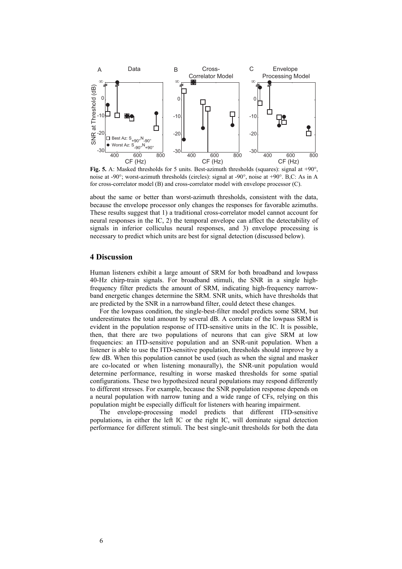

**Fig. 5.** A: Masked thresholds for 5 units. Best-azimuth thresholds (squares): signal at +90°, noise at -90°; worst-azimuth thresholds (circles): signal at -90°, noise at +90°. B,C: As in A for cross-correlator model (B) and cross-correlator model with envelope processor (C).

about the same or better than worst-azimuth thresholds, consistent with the data, because the envelope processor only changes the responses for favorable azimuths. These results suggest that 1) a traditional cross-correlator model cannot account for neural responses in the IC, 2) the temporal envelope can affect the detectability of signals in inferior colliculus neural responses, and 3) envelope processing is necessary to predict which units are best for signal detection (discussed below).

## **4 Discussion**

Human listeners exhibit a large amount of SRM for both broadband and lowpass 40-Hz chirp-train signals. For broadband stimuli, the SNR in a single highfrequency filter predicts the amount of SRM, indicating high-frequency narrowband energetic changes determine the SRM. SNR units, which have thresholds that are predicted by the SNR in a narrowband filter, could detect these changes.

For the lowpass condition, the single-best-filter model predicts some SRM, but underestimates the total amount by several dB. A correlate of the lowpass SRM is evident in the population response of ITD-sensitive units in the IC. It is possible, then, that there are two populations of neurons that can give SRM at low frequencies: an ITD-sensitive population and an SNR-unit population. When a listener is able to use the ITD-sensitive population, thresholds should improve by a few dB. When this population cannot be used (such as when the signal and masker are co-located or when listening monaurally), the SNR-unit population would determine performance, resulting in worse masked thresholds for some spatial configurations. These two hypothesized neural populations may respond differently to different stresses. For example, because the SNR population response depends on a neural population with narrow tuning and a wide range of CFs, relying on this population might be especially difficult for listeners with hearing impairment.

The envelope-processing model predicts that different ITD-sensitive populations, in either the left IC or the right IC, will dominate signal detection performance for different stimuli. The best single-unit thresholds for both the data